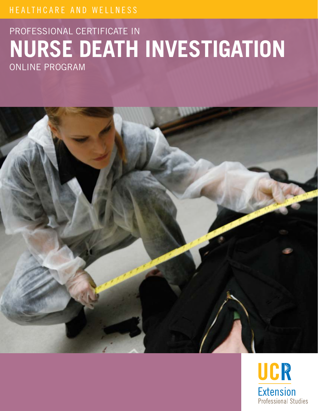## HEALTHCARE AND WELLNESS

# PROFESSIONAL CERTIFICATE IN **NURSE DEATH INVESTIGATION** ONLINE PROGRAM